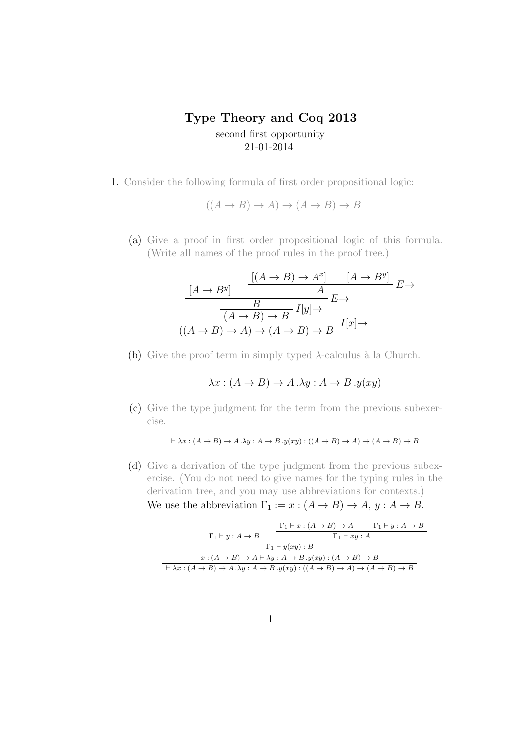## **Type Theory and Coq 2013** second first opportunity 21-01-2014

1. Consider the following formula of first order propositional logic:

$$
((A \to B) \to A) \to (A \to B) \to B
$$

(a) Give a proof in first order propositional logic of this formula. (Write all names of the proof rules in the proof tree.)

$$
\frac{[A \to B^y]}{B} \xrightarrow{[A \to B] \to A^x]} \frac{[A \to B^y]}{B} E \to
$$
  

$$
\frac{B}{(A \to B) \to B} I[y] \to
$$
  

$$
((A \to B) \to A) \to (A \to B) \to B \quad I[x] \to
$$

(b) Give the proof term in simply typed  $\lambda$ -calculus à la Church.

$$
\lambda x : (A \to B) \to A \cdot \lambda y : A \to B \cdot y(xy)
$$

(c) Give the type judgment for the term from the previous subexercise.

$$
\vdash \lambda x : (A \to B) \to A.\lambda y : A \to B.\mathcal{Y}(xy) : ((A \to B) \to A) \to (A \to B) \to B
$$

(d) Give a derivation of the type judgment from the previous subexercise. (You do not need to give names for the typing rules in the derivation tree, and you may use abbreviations for contexts.) We use the abbreviation  $\Gamma_1 := x : (A \to B) \to A, y : A \to B$ .

$$
\frac{\Gamma_1 \vdash y : A \to B \qquad \frac{\Gamma_1 \vdash x : (A \to B) \to A \qquad \Gamma_1 \vdash y : A \to B}{\Gamma_1 \vdash xy : A}
$$
\n
$$
\frac{\Gamma_1 \vdash y (xy) : B}{x : (A \to B) \to A \vdash \lambda y : A \to B \cdot y (xy) : (A \to B) \to B}
$$
\n
$$
\vdash \lambda x : (A \to B) \to A \cdot \lambda y : A \to B \cdot y (xy) : ((A \to B) \to A) \to (A \to B) \to B
$$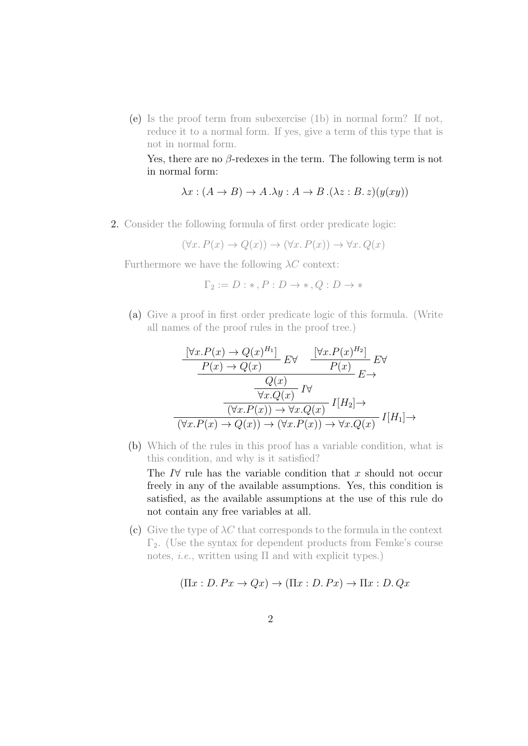(e) Is the proof term from subexercise (1b) in normal form? If not, reduce it to a normal form. If yes, give a term of this type that is not in normal form.

Yes, there are no *β*-redexes in the term. The following term is not in normal form:

$$
\lambda x : (A \to B) \to A \cdot \lambda y : A \to B \cdot (\lambda z : B \cdot z)(y(xy))
$$

2. Consider the following formula of first order predicate logic:

$$
(\forall x. P(x) \to Q(x)) \to (\forall x. P(x)) \to \forall x. Q(x)
$$

Furthermore we have the following *λC* context:

$$
\Gamma_2 := D : *, P : D \to *, Q : D \to *
$$

(a) Give a proof in first order predicate logic of this formula. (Write all names of the proof rules in the proof tree.)

$$
\frac{\left[\forall x. P(x) \to Q(x)^{H_1}\right]}{P(x) \to Q(x)} E\forall \frac{\left[\forall x. P(x)^{H_2}\right]}{P(x)} E\forall
$$
\n
$$
\frac{Q(x)}{\forall x. Q(x)} I\forall
$$
\n
$$
\frac{\left[\forall x. P(x) \to Q(x)\right]}{\left(\forall x. P(x) \to \forall x. Q(x)\right)} I[H_2] \to
$$
\n
$$
\frac{\left(\forall x. P(x) \to Q(x)\right)}{\left(\forall x. P(x) \to \forall x. P(x)\right) \to \forall x. Q(x)} I[H_1] \to
$$

(b) Which of the rules in this proof has a variable condition, what is this condition, and why is it satisfied?

The *I∀* rule has the variable condition that *x* should not occur freely in any of the available assumptions. Yes, this condition is satisfied, as the available assumptions at the use of this rule do not contain any free variables at all.

(c) Give the type of  $\lambda C$  that corresponds to the formula in the context  $\Gamma_2$ . (Use the syntax for dependent products from Femke's course notes, *i.e.*, written using Π and with explicit types.)

$$
(\Pi x : D. Px \to Qx) \to (\Pi x : D. Px) \to \Pi x : D. Qx
$$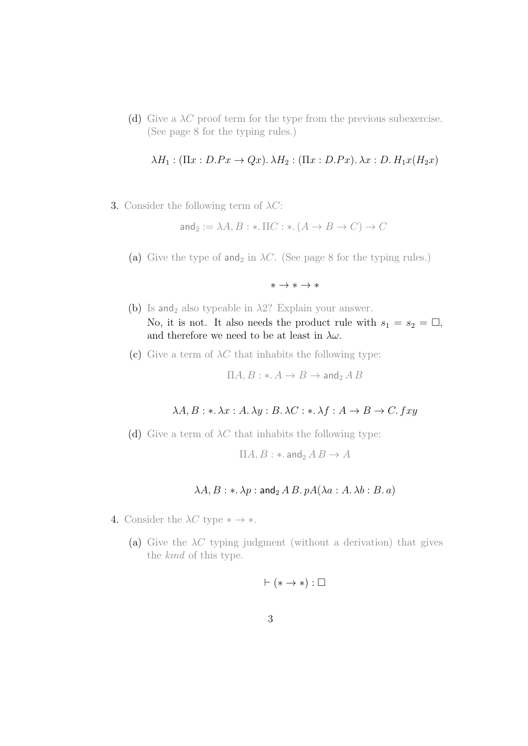(d) Give a  $\lambda C$  proof term for the type from the previous subexercise. (See page 8 for the typing rules.)

$$
\lambda H_1: (\Pi x: D.Px \to Qx). \lambda H_2: (\Pi x: D.Px). \lambda x: D. H_1x(H_2x)
$$

3. Consider the following term of *λC*:

and<sub>2</sub> :=  $\lambda A, B: * \Pi C: * (A \rightarrow B \rightarrow C) \rightarrow C$ 

- (a) Give the type of and<sub>2</sub> in  $\lambda C$ . (See page 8 for the typing rules.)
	- *∗ → ∗ → ∗*
- (b) Is and<sub>2</sub> also typeable in  $\lambda$ 2? Explain your answer. No, it is not. It also needs the product rule with  $s_1 = s_2 = \Box$ , and therefore we need to be at least in *λω*.
- (c) Give a term of  $\lambda C$  that inhabits the following type:

$$
\Pi A, B: \ast \colon A \to B \to \mathsf{and}_2 \land B
$$

## *λA, B* : *∗. λx* : *A. λy* : *B. λC* : *∗. λf* : *A → B → C. fxy*

(d) Give a term of  $\lambda C$  that inhabits the following type:

$$
\Pi A, B: \ast.\operatorname{and}_2 A B \to A
$$

## $\lambda A, B: \ast \lambda p: \mathsf{and}_2 A B, pA(\lambda a: A, \lambda b: B, a)$

- 4. Consider the  $\lambda C$  type  $* \rightarrow *$ .
	- (a) Give the  $\lambda C$  typing judgment (without a derivation) that gives the *kind* of this type.

$$
\vdash (* \to *) : \Box
$$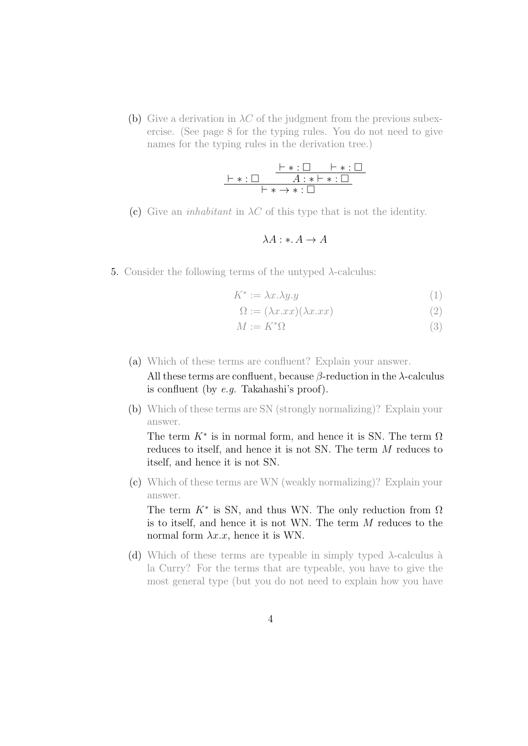(b) Give a derivation in  $\lambda C$  of the judgment from the previous subexercise. (See page 8 for the typing rules. You do not need to give names for the typing rules in the derivation tree.)

*⊢ ∗* : □ *⊢ ∗* : □ *⊢ ∗* : □ *A* : *∗ ⊢ ∗* : □ *⊢ ∗ → ∗* : □

(c) Give an *inhabitant* in  $\lambda C$  of this type that is not the identity.

$$
\lambda A: *A \to A
$$

5. Consider the following terms of the untyped *λ*-calculus:

$$
K^* := \lambda x. \lambda y. y \tag{1}
$$

$$
\Omega := (\lambda x. xx)(\lambda x. xx) \tag{2}
$$

$$
M := K^* \Omega \tag{3}
$$

(a) Which of these terms are confluent? Explain your answer.

All these terms are confluent, because *β*-reduction in the *λ*-calculus is confluent (by *e.g.* Takahashi's proof).

(b) Which of these terms are SN (strongly normalizing)? Explain your answer.

The term  $K^*$  is in normal form, and hence it is SN. The term  $\Omega$ reduces to itself, and hence it is not SN. The term *M* reduces to itself, and hence it is not SN.

(c) Which of these terms are WN (weakly normalizing)? Explain your answer.

The term  $K^*$  is SN, and thus WN. The only reduction from  $\Omega$ is to itself, and hence it is not WN. The term *M* reduces to the normal form  $\lambda x.x$ , hence it is WN.

(d) Which of these terms are typeable in simply typed  $\lambda$ -calculus à la Curry? For the terms that are typeable, you have to give the most general type (but you do not need to explain how you have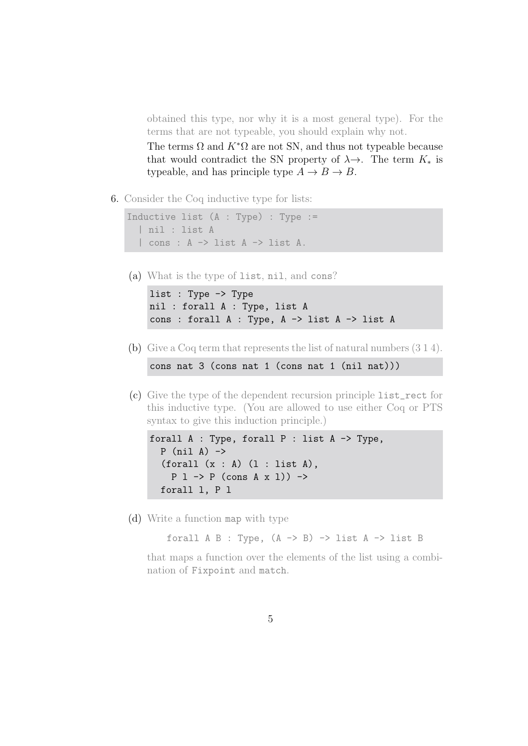obtained this type, nor why it is a most general type). For the terms that are not typeable, you should explain why not.

The terms  $\Omega$  and  $K^*\Omega$  are not SN, and thus not typeable because that would contradict the SN property of  $\lambda \rightarrow$ . The term  $K_*$  is typeable, and has principle type  $A \rightarrow B \rightarrow B$ .

6. Consider the Coq inductive type for lists:

```
Inductive list (A : Type) : Type :=
| nil : list A
| cons : A -> list A -> list A.
```
(a) What is the type of list, nil, and cons?

list : Type -> Type nil : forall A : Type, list A cons : forall A : Type, A -> list A -> list A

(b) Give a Coq term that represents the list of natural numbers (3 1 4).

cons nat 3 (cons nat 1 (cons nat 1 (nil nat)))

(c) Give the type of the dependent recursion principle list\_rect for this inductive type. (You are allowed to use either Coq or PTS syntax to give this induction principle.)

```
forall A : Type, forall P : list A -> Type,
P (nil A) \rightarrow(foral1 (x : A) (1 : list A),P 1 \rightarrow P (cons A x 1)) \rightarrowforall l, P l
```
(d) Write a function map with type

forall  $A$  B : Type,  $(A \rightarrow B) \rightarrow$  list  $A \rightarrow$  list B

that maps a function over the elements of the list using a combination of Fixpoint and match.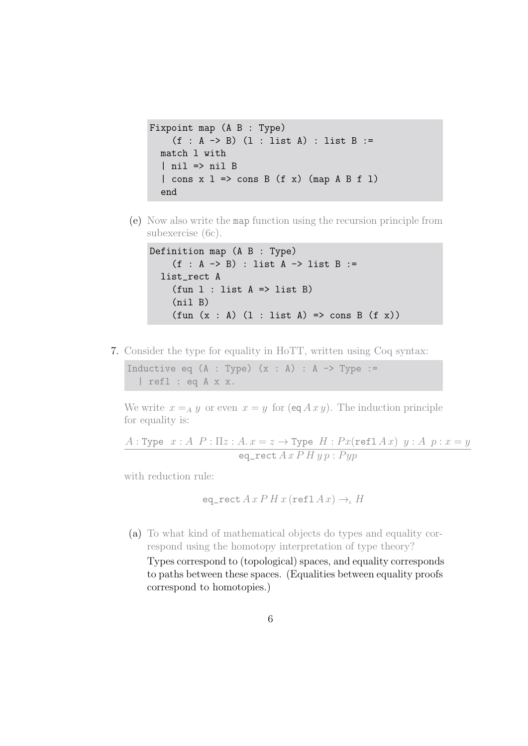```
Fixpoint map (A B : Type)
   (f : A \rightarrow B) (1 : list A) : list B :=match l with
| nil => nil B
| cons x 1 \Rightarrow cons B (f x) (map A B f 1)
end
```
(e) Now also write the map function using the recursion principle from subexercise (6c).

```
Definition map (A B : Type)
   (f : A \rightarrow B) : list A \rightarrow list B :=list rect A
   (fun 1 : list A \Rightarrow list B)(nil B)
   (fun (x : A) (l : list A) \implies cons B (f x))
```
7. Consider the type for equality in HoTT, written using Coq syntax:

Inductive eq  $(A : Type)$   $(x : A) : A \rightarrow Type :=$ | refl : eq A x x.

We write  $x = A y$  or even  $x = y$  for  $(\text{eq } A x y)$ . The induction principle for equality is:

*A* : Type  $x : A \ P : \Pi z : A \cdot x = z \rightarrow \text{Type } H : Px(\text{refl } A x) \ y : A \ p : x = y$  $eq\_rect A x P H y p : P y p$ 

with reduction rule:

eq<sub>rect</sub> 
$$
A x P H x
$$
 (refl  $A x$ )  $\rightarrow_{\iota} H$ 

(a) To what kind of mathematical objects do types and equality correspond using the homotopy interpretation of type theory? Types correspond to (topological) spaces, and equality corresponds to paths between these spaces. (Equalities between equality proofs correspond to homotopies.)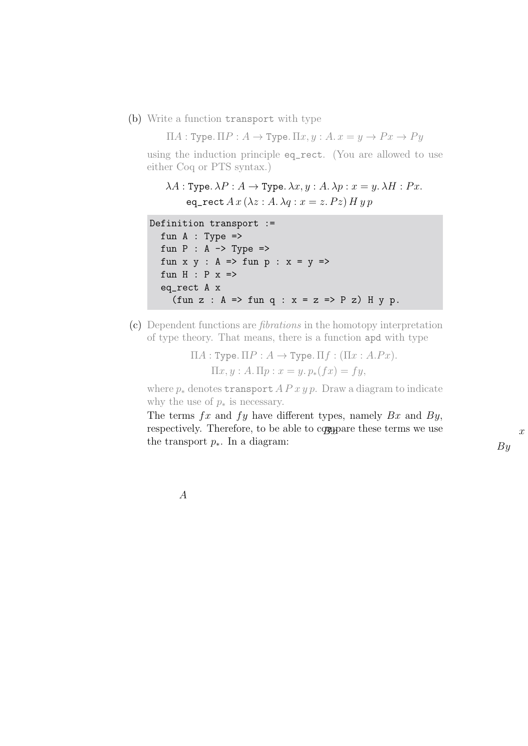(b) Write a function transport with type

Π*A* : Type*.* Π*P* : *A →* Type*.* Π*x, y* : *A. x* = *y → P x → P y*

using the induction principle eq\_rect. (You are allowed to use either Coq or PTS syntax.)

 $\lambda A$ : Type.  $\lambda P$ :  $A \rightarrow$  Type.  $\lambda x, y$ :  $A$ .  $\lambda p$ :  $x = y$ .  $\lambda H$ :  $Px$ . eq\_rect  $A x (\lambda z : A, \lambda q : x = z. P z) H y p$ 

```
Definition transport :=
fun A : Type \Rightarrowfun P : A \rightarrow Type \Rightarrowfun x \ y : A \Rightarrow fun p : x = y \Rightarrowfun H : P x =>
 eq_rect A x
    (fun z : A \Rightarrow fun q : x = z \Rightarrow P z) H y p.
```
(c) Dependent functions are *fibrations* in the homotopy interpretation of type theory. That means, there is a function apd with type

> $\Pi A$ : Type.  $\Pi P$ :  $A \rightarrow$  Type.  $\Pi f$ :  $(\Pi x : A.Px)$ .  $\Pi x, y : A. \Pi p : x = y. p_*(fx) = fy,$

where  $p_*$  denotes transport  $A P x y p$ . Draw a diagram to indicate why the use of  $p_*$  is necessary.

The terms *fx* and *fy* have different types, namely *Bx* and *By*, respectively. Therefore, to be able to compare these terms we use the transport *p∗*. In a diagram:

*x*

*A*